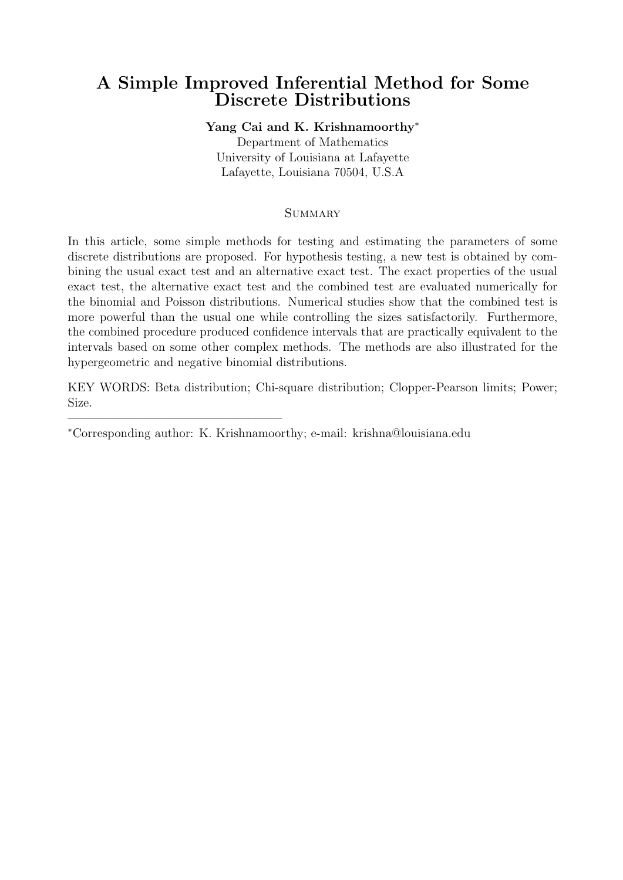# **A Simple Improved Inferential Method for Some Discrete Distributions**

# **Yang Cai and K. Krishnamoorthy***<sup>∗</sup>*

Department of Mathematics University of Louisiana at Lafayette Lafayette, Louisiana 70504, U.S.A

## **SUMMARY**

In this article, some simple methods for testing and estimating the parameters of some discrete distributions are proposed. For hypothesis testing, a new test is obtained by combining the usual exact test and an alternative exact test. The exact properties of the usual exact test, the alternative exact test and the combined test are evaluated numerically for the binomial and Poisson distributions. Numerical studies show that the combined test is more powerful than the usual one while controlling the sizes satisfactorily. Furthermore, the combined procedure produced confidence intervals that are practically equivalent to the intervals based on some other complex methods. The methods are also illustrated for the hypergeometric and negative binomial distributions.

KEY WORDS: Beta distribution; Chi-square distribution; Clopper-Pearson limits; Power; Size.

*∗*Corresponding author: K. Krishnamoorthy; e-mail: krishna@louisiana.edu

—————————————————–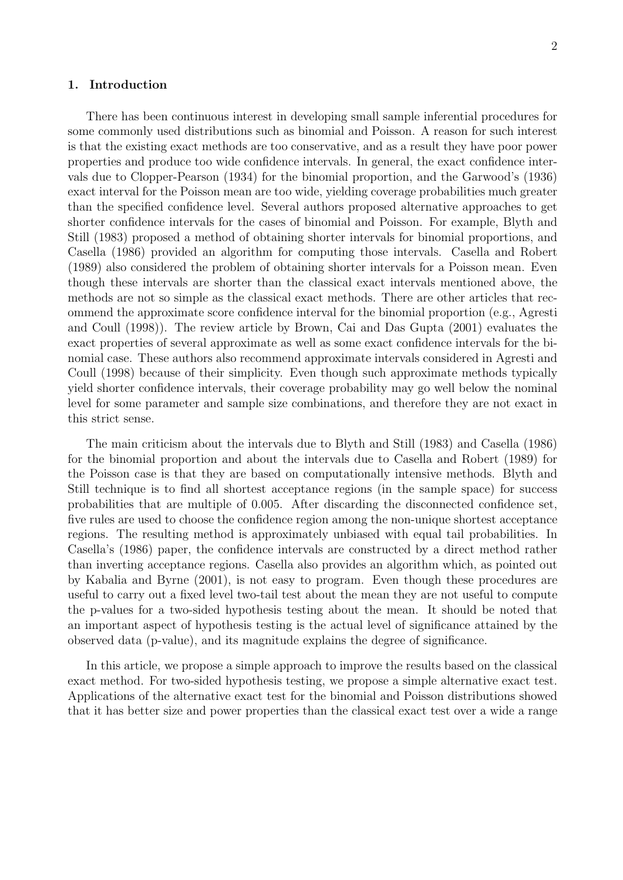### **1. Introduction**

There has been continuous interest in developing small sample inferential procedures for some commonly used distributions such as binomial and Poisson. A reason for such interest is that the existing exact methods are too conservative, and as a result they have poor power properties and produce too wide confidence intervals. In general, the exact confidence intervals due to Clopper-Pearson (1934) for the binomial proportion, and the Garwood's (1936) exact interval for the Poisson mean are too wide, yielding coverage probabilities much greater than the specified confidence level. Several authors proposed alternative approaches to get shorter confidence intervals for the cases of binomial and Poisson. For example, Blyth and Still (1983) proposed a method of obtaining shorter intervals for binomial proportions, and Casella (1986) provided an algorithm for computing those intervals. Casella and Robert (1989) also considered the problem of obtaining shorter intervals for a Poisson mean. Even though these intervals are shorter than the classical exact intervals mentioned above, the methods are not so simple as the classical exact methods. There are other articles that recommend the approximate score confidence interval for the binomial proportion (e.g., Agresti and Coull (1998)). The review article by Brown, Cai and Das Gupta (2001) evaluates the exact properties of several approximate as well as some exact confidence intervals for the binomial case. These authors also recommend approximate intervals considered in Agresti and Coull (1998) because of their simplicity. Even though such approximate methods typically yield shorter confidence intervals, their coverage probability may go well below the nominal level for some parameter and sample size combinations, and therefore they are not exact in this strict sense.

The main criticism about the intervals due to Blyth and Still (1983) and Casella (1986) for the binomial proportion and about the intervals due to Casella and Robert (1989) for the Poisson case is that they are based on computationally intensive methods. Blyth and Still technique is to find all shortest acceptance regions (in the sample space) for success probabilities that are multiple of 0.005. After discarding the disconnected confidence set, five rules are used to choose the confidence region among the non-unique shortest acceptance regions. The resulting method is approximately unbiased with equal tail probabilities. In Casella's (1986) paper, the confidence intervals are constructed by a direct method rather than inverting acceptance regions. Casella also provides an algorithm which, as pointed out by Kabalia and Byrne (2001), is not easy to program. Even though these procedures are useful to carry out a fixed level two-tail test about the mean they are not useful to compute the p-values for a two-sided hypothesis testing about the mean. It should be noted that an important aspect of hypothesis testing is the actual level of significance attained by the observed data (p-value), and its magnitude explains the degree of significance.

In this article, we propose a simple approach to improve the results based on the classical exact method. For two-sided hypothesis testing, we propose a simple alternative exact test. Applications of the alternative exact test for the binomial and Poisson distributions showed that it has better size and power properties than the classical exact test over a wide a range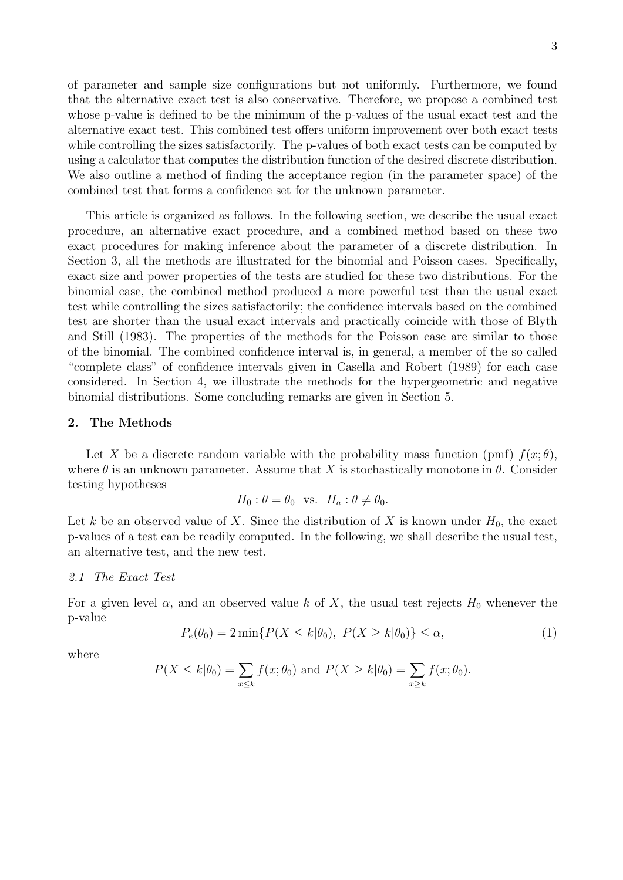of parameter and sample size configurations but not uniformly. Furthermore, we found that the alternative exact test is also conservative. Therefore, we propose a combined test whose p-value is defined to be the minimum of the p-values of the usual exact test and the alternative exact test. This combined test offers uniform improvement over both exact tests while controlling the sizes satisfactorily. The p-values of both exact tests can be computed by using a calculator that computes the distribution function of the desired discrete distribution. We also outline a method of finding the acceptance region (in the parameter space) of the combined test that forms a confidence set for the unknown parameter.

This article is organized as follows. In the following section, we describe the usual exact procedure, an alternative exact procedure, and a combined method based on these two exact procedures for making inference about the parameter of a discrete distribution. In Section 3, all the methods are illustrated for the binomial and Poisson cases. Specifically, exact size and power properties of the tests are studied for these two distributions. For the binomial case, the combined method produced a more powerful test than the usual exact test while controlling the sizes satisfactorily; the confidence intervals based on the combined test are shorter than the usual exact intervals and practically coincide with those of Blyth and Still (1983). The properties of the methods for the Poisson case are similar to those of the binomial. The combined confidence interval is, in general, a member of the so called "complete class" of confidence intervals given in Casella and Robert (1989) for each case considered. In Section 4, we illustrate the methods for the hypergeometric and negative binomial distributions. Some concluding remarks are given in Section 5.

### **2. The Methods**

Let *X* be a discrete random variable with the probability mass function (pmf)  $f(x; \theta)$ , where  $\theta$  is an unknown parameter. Assume that *X* is stochastically monotone in  $\theta$ . Consider testing hypotheses

$$
H_0: \theta = \theta_0 \text{ vs. } H_a: \theta \neq \theta_0.
$$

Let *k* be an observed value of *X*. Since the distribution of *X* is known under  $H_0$ , the exact p-values of a test can be readily computed. In the following, we shall describe the usual test, an alternative test, and the new test.

### *2.1 The Exact Test*

For a given level  $\alpha$ , and an observed value k of X, the usual test rejects  $H_0$  whenever the p-value

$$
P_e(\theta_0) = 2 \min\{P(X \le k | \theta_0), \ P(X \ge k | \theta_0)\} \le \alpha,\tag{1}
$$

where

$$
P(X \le k|\theta_0) = \sum_{x \le k} f(x; \theta_0) \text{ and } P(X \ge k|\theta_0) = \sum_{x \ge k} f(x; \theta_0).
$$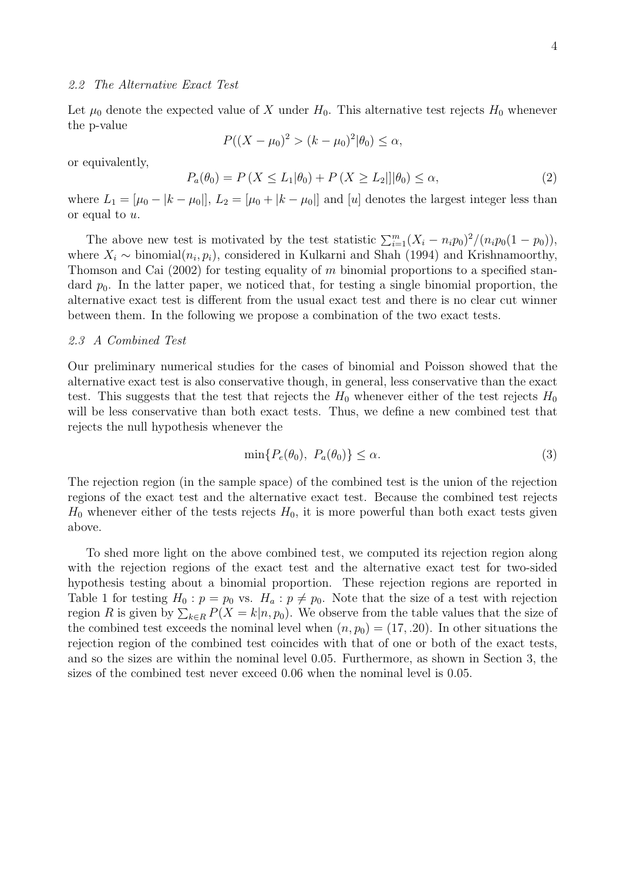### *2.2 The Alternative Exact Test*

Let  $\mu_0$  denote the expected value of X under  $H_0$ . This alternative test rejects  $H_0$  whenever the p-value

$$
P((X - \mu_0)^2 > (k - \mu_0)^2 | \theta_0) \le \alpha,
$$

or equivalently,

$$
P_a(\theta_0) = P(X \le L_1 | \theta_0) + P(X \ge L_2 || \theta_0) \le \alpha,
$$
\n(2)

where  $L_1 = [\mu_0 - |k - \mu_0|], L_2 = [\mu_0 + |k - \mu_0|]$  and  $[u]$  denotes the largest integer less than or equal to *u*.

The above new test is motivated by the test statistic  $\sum_{i=1}^{m} (X_i - n_i p_0)^2/(n_i p_0(1 - p_0))$ , where  $X_i \sim \text{binomial}(n_i, p_i)$ , considered in Kulkarni and Shah (1994) and Krishnamoorthy, Thomson and Cai (2002) for testing equality of *m* binomial proportions to a specified standard  $p_0$ . In the latter paper, we noticed that, for testing a single binomial proportion, the alternative exact test is different from the usual exact test and there is no clear cut winner between them. In the following we propose a combination of the two exact tests.

### *2.3 A Combined Test*

Our preliminary numerical studies for the cases of binomial and Poisson showed that the alternative exact test is also conservative though, in general, less conservative than the exact test. This suggests that the test that rejects the  $H_0$  whenever either of the test rejects  $H_0$ will be less conservative than both exact tests. Thus, we define a new combined test that rejects the null hypothesis whenever the

$$
\min\{P_e(\theta_0), \ P_a(\theta_0)\} \le \alpha. \tag{3}
$$

The rejection region (in the sample space) of the combined test is the union of the rejection regions of the exact test and the alternative exact test. Because the combined test rejects  $H_0$  whenever either of the tests rejects  $H_0$ , it is more powerful than both exact tests given above.

To shed more light on the above combined test, we computed its rejection region along with the rejection regions of the exact test and the alternative exact test for two-sided hypothesis testing about a binomial proportion. These rejection regions are reported in Table 1 for testing  $H_0: p = p_0$  vs.  $H_a: p \neq p_0$ . Note that the size of a test with rejection region *R* is given by  $\sum_{k \in R} P(X = k | n, p_0)$ . We observe from the table values that the size of the combined test exceeds the nominal level when  $(n, p_0) = (17, .20)$ . In other situations the rejection region of the combined test coincides with that of one or both of the exact tests, and so the sizes are within the nominal level 0.05. Furthermore, as shown in Section 3, the sizes of the combined test never exceed 0.06 when the nominal level is 0.05.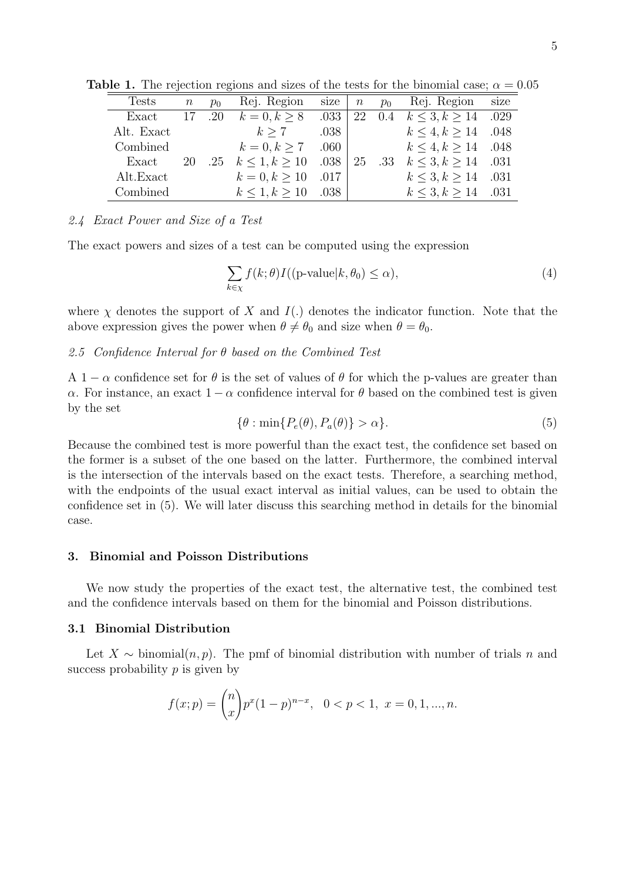| <b>Tests</b> | $\, n$ | $p_0$ | Rej. Region              | size $\mid n$ |    | $p_0$   | Rej. Region size           |  |
|--------------|--------|-------|--------------------------|---------------|----|---------|----------------------------|--|
| Exact        | 17     | .20   | $k = 0, k > 8$           | .033          | 22 | $0.4\,$ | $k \leq 3, k \geq 14$ .029 |  |
| Alt. Exact   |        |       | k > 7                    | .038          |    |         | $k \leq 4, k \geq 14$ .048 |  |
| Combined     |        |       | $k = 0, k > 7$ .060      |               |    |         | $k \leq 4, k \geq 14$ .048 |  |
| Exact        | 20     | .25   | $k \le 1, k \ge 10$ .038 |               | 25 | .33     | $k < 3, k > 14$ .031       |  |
| Alt.Exact    |        |       | $k = 0, k \ge 10$ .017   |               |    |         | $k \leq 3, k \geq 14$ .031 |  |
| Combined     |        |       | $k < 1, k > 10$ .038     |               |    |         | $k < 3, k > 14$ .031       |  |

**Table 1.** The rejection regions and sizes of the tests for the binomial case;  $\alpha = 0.05$ 

### *2.4 Exact Power and Size of a Test*

The exact powers and sizes of a test can be computed using the expression

$$
\sum_{k \in \chi} f(k; \theta) I((\text{p-value}|k, \theta_0) \le \alpha), \tag{4}
$$

where  $\chi$  denotes the support of X and  $I(.)$  denotes the indicator function. Note that the above expression gives the power when  $\theta \neq \theta_0$  and size when  $\theta = \theta_0$ .

### *2.5 Confidence Interval for θ based on the Combined Test*

A 1 −  $\alpha$  confidence set for  $\theta$  is the set of values of  $\theta$  for which the p-values are greater than *α*. For instance, an exact  $1 - \alpha$  confidence interval for *θ* based on the combined test is given by the set

$$
\{\theta : \min\{P_e(\theta), P_a(\theta)\} > \alpha\}.
$$
\n(5)

Because the combined test is more powerful than the exact test, the confidence set based on the former is a subset of the one based on the latter. Furthermore, the combined interval is the intersection of the intervals based on the exact tests. Therefore, a searching method, with the endpoints of the usual exact interval as initial values, can be used to obtain the confidence set in (5). We will later discuss this searching method in details for the binomial case.

### **3. Binomial and Poisson Distributions**

We now study the properties of the exact test, the alternative test, the combined test and the confidence intervals based on them for the binomial and Poisson distributions.

### **3.1 Binomial Distribution**

Let  $X \sim$  binomial $(n, p)$ . The pmf of binomial distribution with number of trials *n* and success probability *p* is given by

$$
f(x; p) = {n \choose x} p^{x} (1-p)^{n-x}, \quad 0 < p < 1, \ x = 0, 1, \dots, n.
$$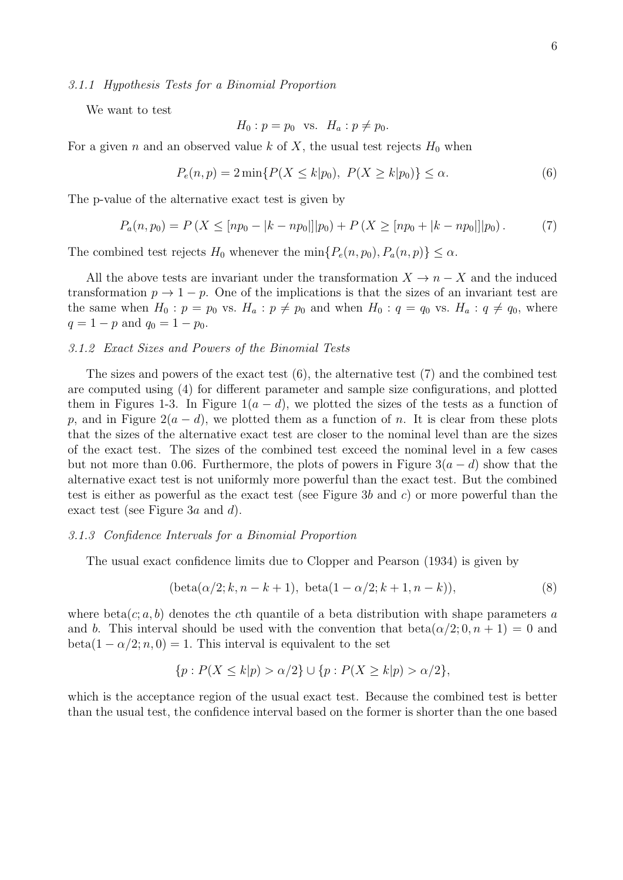### *3.1.1 Hypothesis Tests for a Binomial Proportion*

We want to test

$$
H_0: p = p_0 \quad \text{vs.} \quad H_a: p \neq p_0.
$$

For a given *n* and an observed value *k* of *X*, the usual test rejects  $H_0$  when

$$
P_e(n, p) = 2 \min\{P(X \le k | p_0), \ P(X \ge k | p_0)\} \le \alpha.
$$
 (6)

The p-value of the alternative exact test is given by

$$
P_a(n, p_0) = P\left(X \leq [np_0 - |k - np_0|] |p_0\right) + P\left(X \geq [np_0 + |k - np_0|] |p_0\right). \tag{7}
$$

The combined test rejects  $H_0$  whenever the min $\{P_e(n, p_0), P_a(n, p)\} \leq \alpha$ .

All the above tests are invariant under the transformation  $X \to n - X$  and the induced transformation  $p \to 1 - p$ . One of the implications is that the sizes of an invariant test are the same when  $H_0: p = p_0$  vs.  $H_a: p \neq p_0$  and when  $H_0: q = q_0$  vs.  $H_a: q \neq q_0$ , where  $q = 1 - p$  and  $q_0 = 1 - p_0$ .

### *3.1.2 Exact Sizes and Powers of the Binomial Tests*

The sizes and powers of the exact test (6), the alternative test (7) and the combined test are computed using (4) for different parameter and sample size configurations, and plotted them in Figures 1-3. In Figure  $1(a - d)$ , we plotted the sizes of the tests as a function of *p*, and in Figure  $2(a - d)$ , we plotted them as a function of *n*. It is clear from these plots that the sizes of the alternative exact test are closer to the nominal level than are the sizes of the exact test. The sizes of the combined test exceed the nominal level in a few cases but not more than 0.06. Furthermore, the plots of powers in Figure  $3(a - d)$  show that the alternative exact test is not uniformly more powerful than the exact test. But the combined test is either as powerful as the exact test (see Figure 3*b* and *c*) or more powerful than the exact test (see Figure 3*a* and *d*).

### *3.1.3 Confidence Intervals for a Binomial Proportion*

The usual exact confidence limits due to Clopper and Pearson (1934) is given by

$$
(\text{beta}(\alpha/2; k, n - k + 1), \ \text{beta}(1 - \alpha/2; k + 1, n - k)),\tag{8}
$$

where beta $(c; a, b)$  denotes the *c*th quantile of a beta distribution with shape parameters a and *b*. This interval should be used with the convention that  $beta(\alpha/2; 0, n + 1) = 0$  and  $beta(1 - \alpha/2; n, 0) = 1$ . This interval is equivalent to the set

$$
\{p: P(X \le k|p) > \alpha/2\} \cup \{p: P(X \ge k|p) > \alpha/2\},\
$$

which is the acceptance region of the usual exact test. Because the combined test is better than the usual test, the confidence interval based on the former is shorter than the one based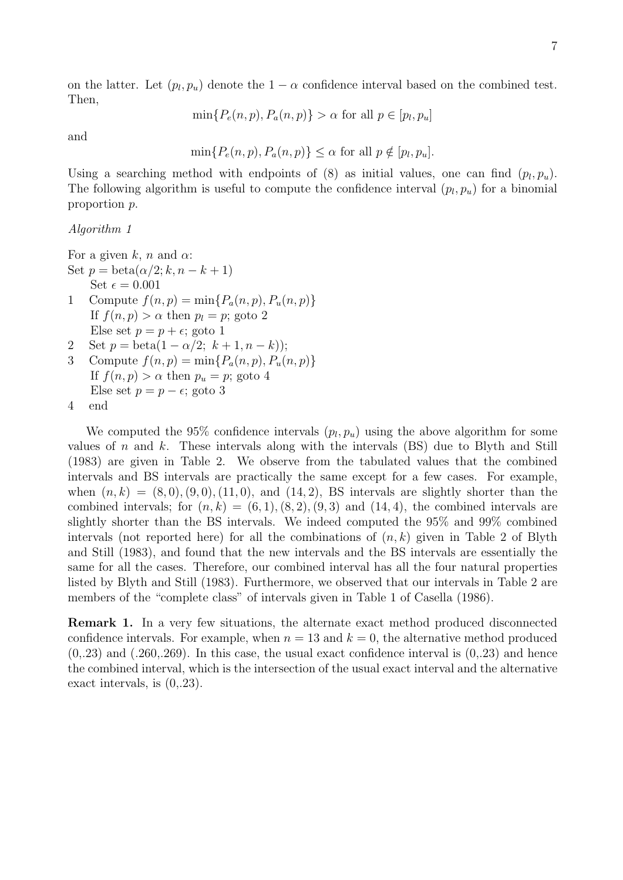on the latter. Let  $(p_l, p_u)$  denote the  $1 - \alpha$  confidence interval based on the combined test. Then,

 $\min\{P_e(n, p), P_a(n, p)\} > \alpha$  for all  $p \in [p_l, p_u]$ 

and

$$
\min\{P_e(n,p), P_a(n,p)\} \le \alpha \text{ for all } p \notin [p_l, p_u].
$$

Using a searching method with endpoints of  $(8)$  as initial values, one can find  $(p_l, p_u)$ . The following algorithm is useful to compute the confidence interval  $(p_l, p_u)$  for a binomial proportion *p*.

### *Algorithm 1*

For a given *k*, *n* and  $\alpha$ : Set  $p = \text{beta}(\alpha/2; k, n - k + 1)$ Set  $\epsilon = 0.001$ 1 Compute  $f(n, p) = \min\{P_a(n, p), P_u(n, p)\}$ If  $f(n, p) > \alpha$  then  $p_l = p$ ; goto 2 Else set  $p = p + \epsilon$ ; goto 1

- 2 Set  $p = \text{beta}(1 \alpha/2; k + 1, n k)$ ;
- 3 Compute  $f(n, p) = \min\{P_a(n, p), P_u(n, p)\}$ If  $f(n, p) > \alpha$  then  $p_u = p$ ; goto 4 Else set  $p = p - \epsilon$ ; goto 3

```
4 end
```
We computed the 95% confidence intervals  $(p_l, p_u)$  using the above algorithm for some values of *n* and *k*. These intervals along with the intervals (BS) due to Blyth and Still (1983) are given in Table 2. We observe from the tabulated values that the combined intervals and BS intervals are practically the same except for a few cases. For example, when  $(n, k) = (8, 0), (9, 0), (11, 0),$  and  $(14, 2),$  BS intervals are slightly shorter than the combined intervals; for  $(n, k) = (6, 1), (8, 2), (9, 3)$  and  $(14, 4)$ , the combined intervals are slightly shorter than the BS intervals. We indeed computed the 95% and 99% combined intervals (not reported here) for all the combinations of (*n, k*) given in Table 2 of Blyth and Still (1983), and found that the new intervals and the BS intervals are essentially the same for all the cases. Therefore, our combined interval has all the four natural properties listed by Blyth and Still (1983). Furthermore, we observed that our intervals in Table 2 are members of the "complete class" of intervals given in Table 1 of Casella (1986).

**Remark 1.** In a very few situations, the alternate exact method produced disconnected confidence intervals. For example, when  $n = 13$  and  $k = 0$ , the alternative method produced  $(0,23)$  and  $(.260, .269)$ . In this case, the usual exact confidence interval is  $(0, .23)$  and hence the combined interval, which is the intersection of the usual exact interval and the alternative exact intervals, is (0,.23).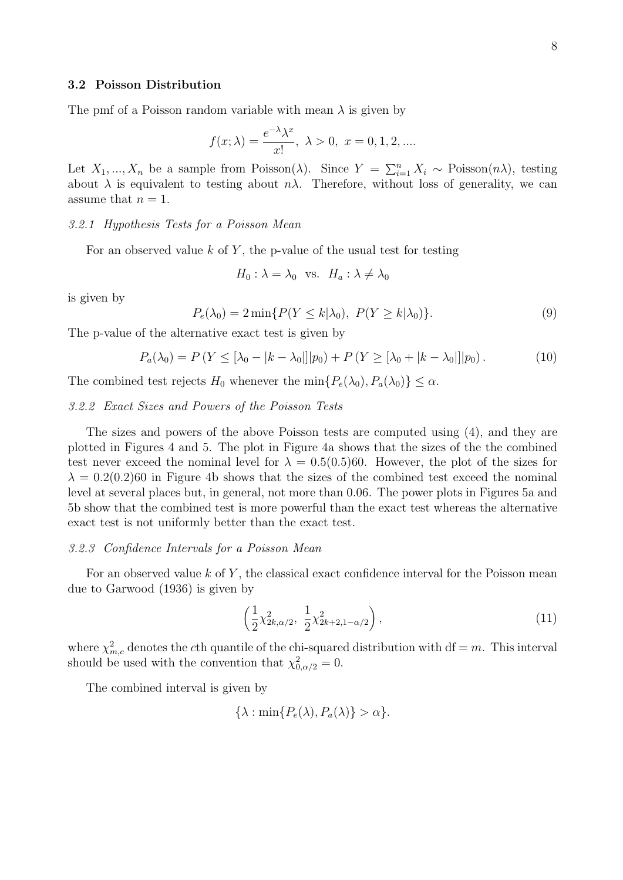### **3.2 Poisson Distribution**

The pmf of a Poisson random variable with mean  $\lambda$  is given by

$$
f(x; \lambda) = \frac{e^{-\lambda} \lambda^x}{x!}, \ \lambda > 0, \ x = 0, 1, 2, \dots
$$

Let  $X_1, ..., X_n$  be a sample from Poisson( $\lambda$ ). Since  $Y = \sum_{i=1}^n X_i \sim \text{Poisson}(n\lambda)$ , testing about  $\lambda$  is equivalent to testing about  $n\lambda$ . Therefore, without loss of generality, we can assume that  $n = 1$ .

### *3.2.1 Hypothesis Tests for a Poisson Mean*

For an observed value *k* of *Y* , the p-value of the usual test for testing

$$
H_0
$$
:  $\lambda = \lambda_0$  vs.  $H_a$ :  $\lambda \neq \lambda_0$ 

is given by

$$
P_e(\lambda_0) = 2 \min\{P(Y \le k | \lambda_0), \ P(Y \ge k | \lambda_0)\}.
$$
\n
$$
(9)
$$

The p-value of the alternative exact test is given by

$$
P_a(\lambda_0) = P(Y \leq [\lambda_0 - |k - \lambda_0|] | p_0) + P(Y \geq [\lambda_0 + |k - \lambda_0|] | p_0).
$$
 (10)

The combined test rejects  $H_0$  whenever the min $\{P_e(\lambda_0), P_a(\lambda_0)\} \leq \alpha$ .

### *3.2.2 Exact Sizes and Powers of the Poisson Tests*

The sizes and powers of the above Poisson tests are computed using (4), and they are plotted in Figures 4 and 5. The plot in Figure 4a shows that the sizes of the the combined test never exceed the nominal level for  $\lambda = 0.5(0.5)60$ . However, the plot of the sizes for  $\lambda = 0.2(0.2)$ 60 in Figure 4b shows that the sizes of the combined test exceed the nominal level at several places but, in general, not more than 0.06. The power plots in Figures 5a and 5b show that the combined test is more powerful than the exact test whereas the alternative exact test is not uniformly better than the exact test.

#### *3.2.3 Confidence Intervals for a Poisson Mean*

For an observed value *k* of *Y* , the classical exact confidence interval for the Poisson mean due to Garwood (1936) is given by

$$
\left(\frac{1}{2}\chi^2_{2k,\alpha/2}, \ \frac{1}{2}\chi^2_{2k+2,1-\alpha/2}\right),\tag{11}
$$

where  $\chi^2_{m,c}$  denotes the *c*th quantile of the chi-squared distribution with df = *m*. This interval should be used with the convention that  $\chi^2_{0,\alpha/2} = 0$ .

The combined interval is given by

$$
\{\lambda : \min\{P_e(\lambda), P_a(\lambda)\} > \alpha\}.
$$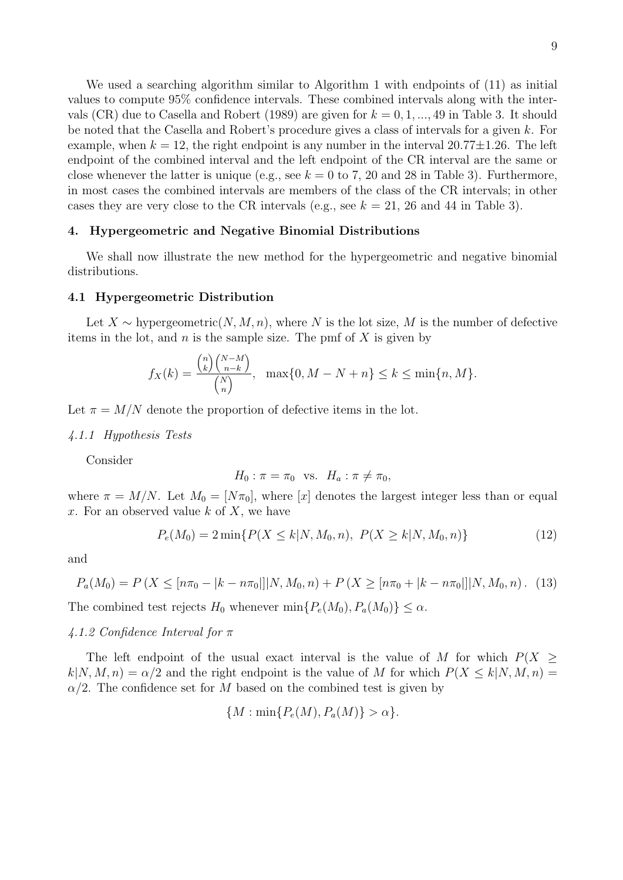We used a searching algorithm similar to Algorithm 1 with endpoints of (11) as initial values to compute 95% confidence intervals. These combined intervals along with the intervals (CR) due to Casella and Robert (1989) are given for  $k = 0, 1, ..., 49$  in Table 3. It should be noted that the Casella and Robert's procedure gives a class of intervals for a given *k*. For example, when  $k = 12$ , the right endpoint is any number in the interval  $20.77 \pm 1.26$ . The left endpoint of the combined interval and the left endpoint of the CR interval are the same or close whenever the latter is unique (e.g., see  $k = 0$  to 7, 20 and 28 in Table 3). Furthermore, in most cases the combined intervals are members of the class of the CR intervals; in other cases they are very close to the CR intervals (e.g., see  $k = 21$ , 26 and 44 in Table 3).

### **4. Hypergeometric and Negative Binomial Distributions**

We shall now illustrate the new method for the hypergeometric and negative binomial distributions.

### **4.1 Hypergeometric Distribution**

Let  $X \sim$  hypergeometric $(N, M, n)$ , where  $N$  is the lot size,  $M$  is the number of defective items in the lot, and *n* is the sample size. The pmf of *X* is given by

$$
f_X(k) = \frac{\binom{n}{k} \binom{N-M}{n-k}}{\binom{N}{n}}, \quad \max\{0, M - N + n\} \le k \le \min\{n, M\}.
$$

Let  $\pi = M/N$  denote the proportion of defective items in the lot.

#### *4.1.1 Hypothesis Tests*

Consider

$$
H_0: \pi = \pi_0 \text{ vs. } H_a: \pi \neq \pi_0,
$$

where  $\pi = M/N$ . Let  $M_0 = [N\pi_0]$ , where [*x*] denotes the largest integer less than or equal *x*. For an observed value *k* of *X*, we have

$$
P_e(M_0) = 2\min\{P(X \le k | N, M_0, n), \ P(X \ge k | N, M_0, n)\}\tag{12}
$$

and

$$
P_a(M_0) = P\left(X \leq [n\pi_0 - |k - n\pi_0|]|N, M_0, n\right) + P\left(X \geq [n\pi_0 + |k - n\pi_0|]|N, M_0, n\right). \tag{13}
$$

The combined test rejects  $H_0$  whenever  $\min\{P_e(M_0), P_a(M_0)\} \leq \alpha$ .

#### *4.1.2 Confidence Interval for π*

The left endpoint of the usual exact interval is the value of *M* for which *P*(*X ≥*  $k|N, M, n$ ) =  $\alpha/2$  and the right endpoint is the value of *M* for which  $P(X \le k|N, M, n)$  =  $\alpha/2$ . The confidence set for *M* based on the combined test is given by

$$
\{M: \min\{P_e(M), P_a(M)\} > \alpha\}.
$$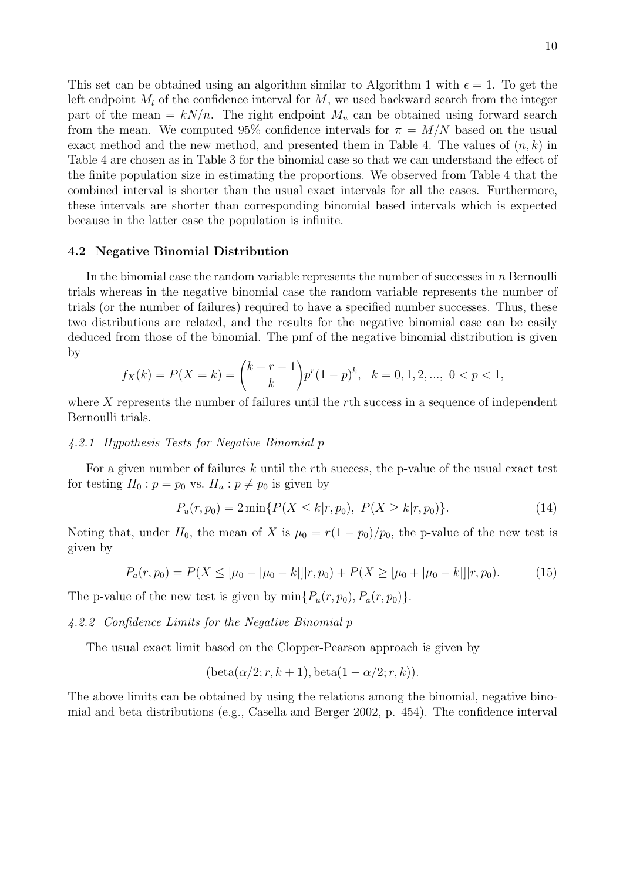This set can be obtained using an algorithm similar to Algorithm 1 with  $\epsilon = 1$ . To get the left endpoint  $M_l$  of the confidence interval for  $M$ , we used backward search from the integer part of the mean  $= kN/n$ . The right endpoint  $M_u$  can be obtained using forward search from the mean. We computed 95% confidence intervals for  $\pi = M/N$  based on the usual exact method and the new method, and presented them in Table 4. The values of (*n, k*) in Table 4 are chosen as in Table 3 for the binomial case so that we can understand the effect of the finite population size in estimating the proportions. We observed from Table 4 that the combined interval is shorter than the usual exact intervals for all the cases. Furthermore, these intervals are shorter than corresponding binomial based intervals which is expected because in the latter case the population is infinite.

### **4.2 Negative Binomial Distribution**

In the binomial case the random variable represents the number of successes in *n* Bernoulli trials whereas in the negative binomial case the random variable represents the number of trials (or the number of failures) required to have a specified number successes. Thus, these two distributions are related, and the results for the negative binomial case can be easily deduced from those of the binomial. The pmf of the negative binomial distribution is given by

$$
f_X(k) = P(X = k) = {k + r - 1 \choose k} p^r (1-p)^k, \quad k = 0, 1, 2, ..., \quad 0 < p < 1,
$$

where *X* represents the number of failures until the *r*th success in a sequence of independent Bernoulli trials.

### *4.2.1 Hypothesis Tests for Negative Binomial p*

For a given number of failures *k* until the *r*th success, the p-value of the usual exact test for testing  $H_0: p = p_0$  vs.  $H_a: p \neq p_0$  is given by

$$
P_u(r, p_0) = 2 \min\{P(X \le k|r, p_0), \ P(X \ge k|r, p_0)\}.
$$
 (14)

Noting that, under  $H_0$ , the mean of *X* is  $\mu_0 = r(1 - p_0)/p_0$ , the p-value of the new test is given by

$$
P_a(r, p_0) = P(X \leq [\mu_0 - |\mu_0 - k|]|r, p_0) + P(X \geq [\mu_0 + |\mu_0 - k|]|r, p_0).
$$
 (15)

The p-value of the new test is given by  $\min\{P_u(r, p_0), P_a(r, p_0)\}.$ 

*4.2.2 Confidence Limits for the Negative Binomial p*

The usual exact limit based on the Clopper-Pearson approach is given by

$$
(\text{beta}(\alpha/2; r, k+1), \text{beta}(1-\alpha/2; r, k)).
$$

The above limits can be obtained by using the relations among the binomial, negative binomial and beta distributions (e.g., Casella and Berger 2002, p. 454). The confidence interval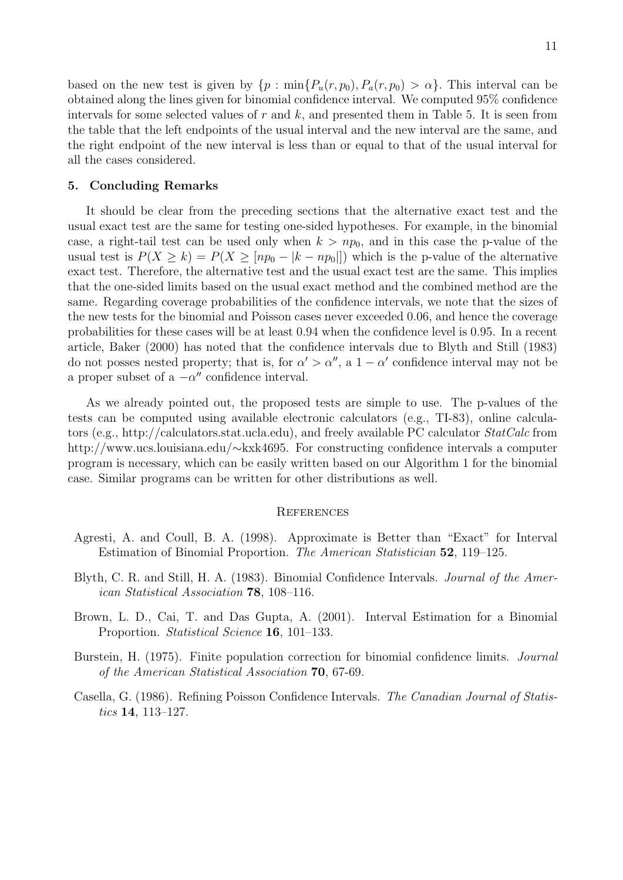based on the new test is given by  $\{p : \min\{P_u(r, p_0), P_a(r, p_0) > \alpha\}$ . This interval can be obtained along the lines given for binomial confidence interval. We computed 95% confidence intervals for some selected values of *r* and *k*, and presented them in Table 5. It is seen from the table that the left endpoints of the usual interval and the new interval are the same, and the right endpoint of the new interval is less than or equal to that of the usual interval for all the cases considered.

### **5. Concluding Remarks**

It should be clear from the preceding sections that the alternative exact test and the usual exact test are the same for testing one-sided hypotheses. For example, in the binomial case, a right-tail test can be used only when  $k > np_0$ , and in this case the p-value of the usual test is  $P(X \ge k) = P(X \ge [np_0 - |k - np_0|])$  which is the p-value of the alternative exact test. Therefore, the alternative test and the usual exact test are the same. This implies that the one-sided limits based on the usual exact method and the combined method are the same. Regarding coverage probabilities of the confidence intervals, we note that the sizes of the new tests for the binomial and Poisson cases never exceeded 0.06, and hence the coverage probabilities for these cases will be at least 0.94 when the confidence level is 0.95. In a recent article, Baker (2000) has noted that the confidence intervals due to Blyth and Still (1983) do not posses nested property; that is, for  $\alpha' > \alpha''$ , a  $1 - \alpha'$  confidence interval may not be a proper subset of a *−α ′′* confidence interval.

As we already pointed out, the proposed tests are simple to use. The p-values of the tests can be computed using available electronic calculators (e.g., TI-83), online calculators (e.g., http://calculators.stat.ucla.edu), and freely available PC calculator *StatCalc* from http://www.ucs.louisiana.edu/*∼*kxk4695. For constructing confidence intervals a computer program is necessary, which can be easily written based on our Algorithm 1 for the binomial case. Similar programs can be written for other distributions as well.

#### **REFERENCES**

- Agresti, A. and Coull, B. A. (1998). Approximate is Better than "Exact" for Interval Estimation of Binomial Proportion. *The American Statistician* **52**, 119–125.
- Blyth, C. R. and Still, H. A. (1983). Binomial Confidence Intervals. *Journal of the American Statistical Association* **78**, 108–116.
- Brown, L. D., Cai, T. and Das Gupta, A. (2001). Interval Estimation for a Binomial Proportion. *Statistical Science* **16**, 101–133.
- Burstein, H. (1975). Finite population correction for binomial confidence limits. *Journal of the American Statistical Association* **70**, 67-69.
- Casella, G. (1986). Refining Poisson Confidence Intervals. *The Canadian Journal of Statistics* **14**, 113–127.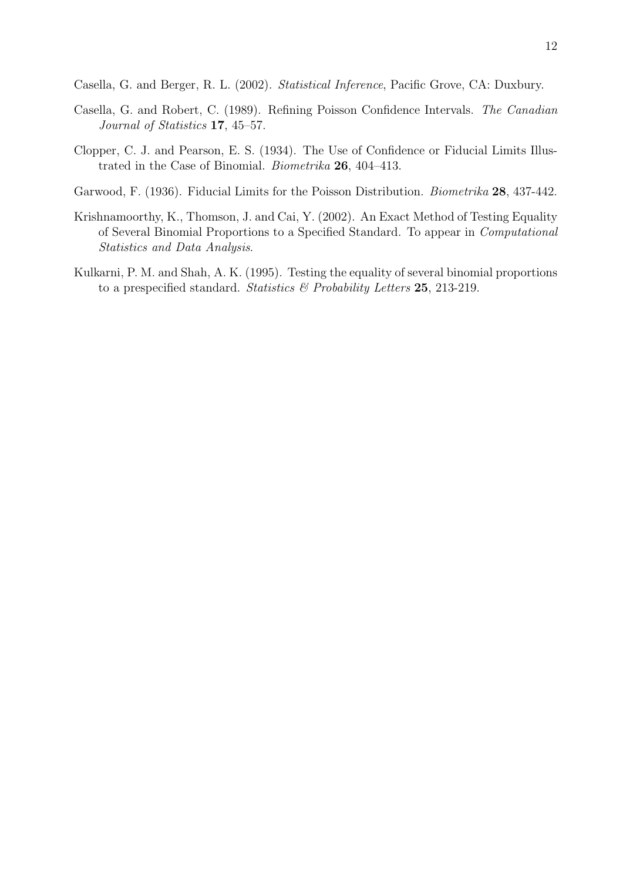Casella, G. and Berger, R. L. (2002). *Statistical Inference*, Pacific Grove, CA: Duxbury.

- Casella, G. and Robert, C. (1989). Refining Poisson Confidence Intervals. *The Canadian Journal of Statistics* **17**, 45–57.
- Clopper, C. J. and Pearson, E. S. (1934). The Use of Confidence or Fiducial Limits Illustrated in the Case of Binomial. *Biometrika* **26**, 404–413.
- Garwood, F. (1936). Fiducial Limits for the Poisson Distribution. *Biometrika* **28**, 437-442.
- Krishnamoorthy, K., Thomson, J. and Cai, Y. (2002). An Exact Method of Testing Equality of Several Binomial Proportions to a Specified Standard. To appear in *Computational Statistics and Data Analysis*.
- Kulkarni, P. M. and Shah, A. K. (1995). Testing the equality of several binomial proportions to a prespecified standard. *Statistics & Probability Letters* **25**, 213-219.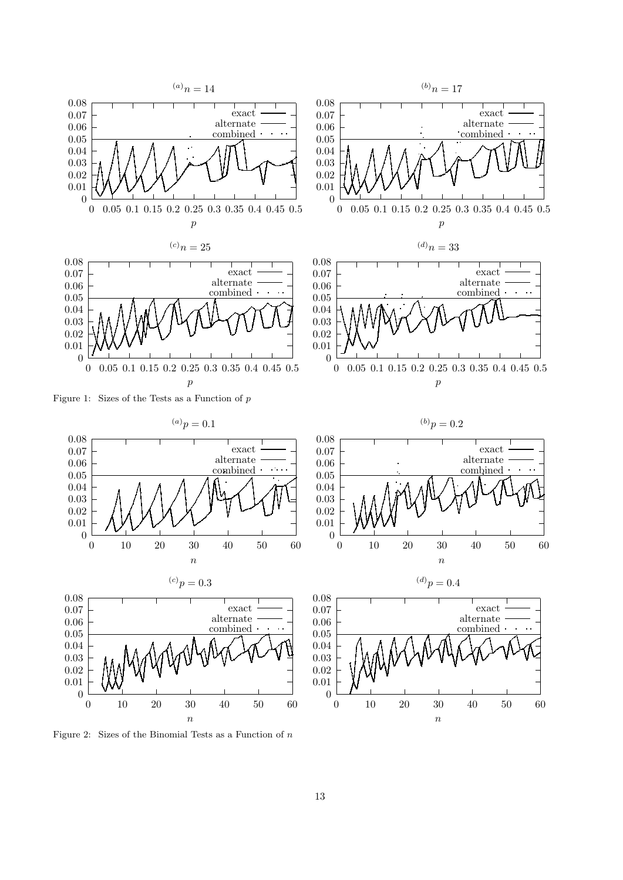

Figure 2: Sizes of the Binomial Tests as a Function of *n*

13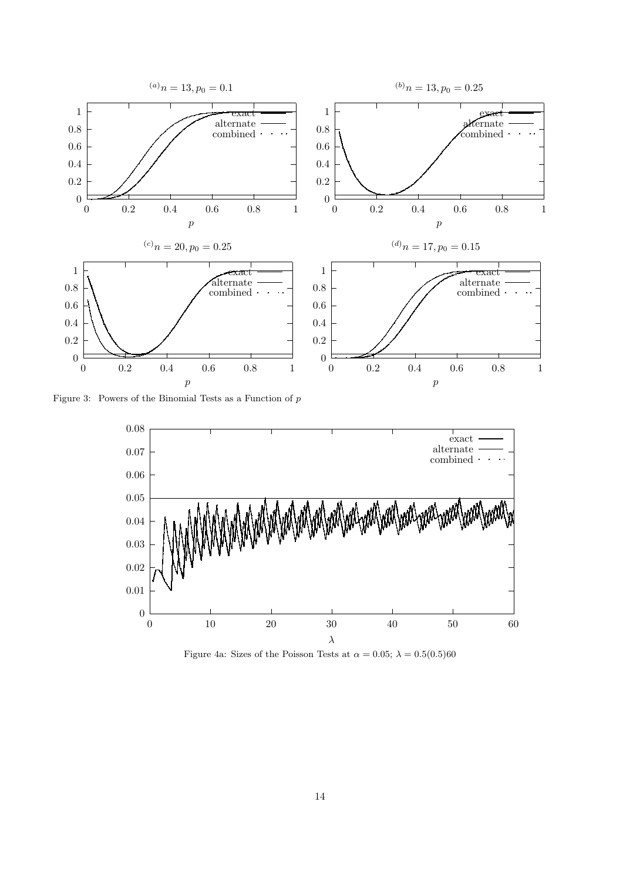

Figure 3: Powers of the Binomial Tests as a Function of *p*



Figure 4a: Sizes of the Poisson Tests at  $\alpha = 0.05$ ;  $\lambda = 0.5(0.5)60$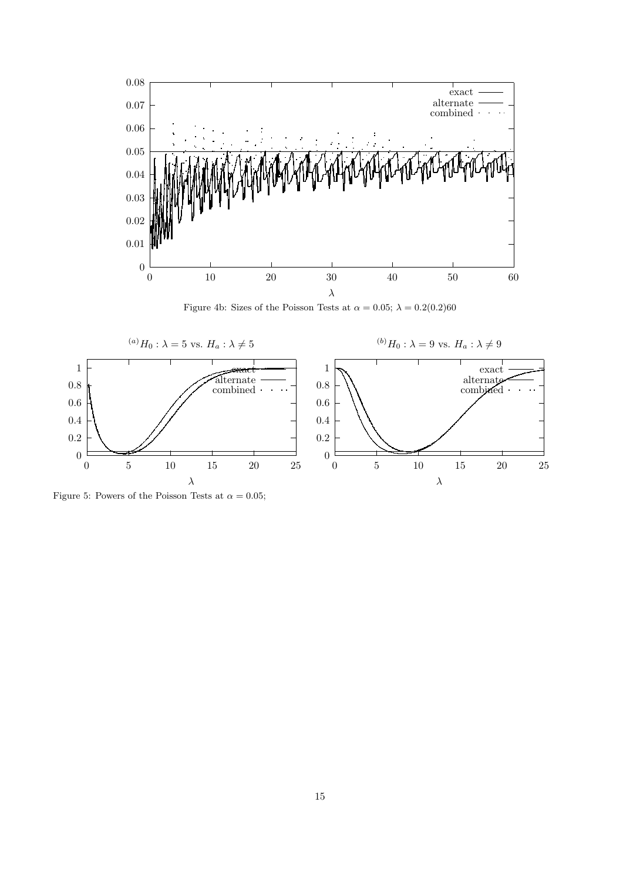

Figure 4b: Sizes of the Poisson Tests at  $\alpha = 0.05$ ;  $\lambda = 0.2(0.2)60$ 



Figure 5: Powers of the Poisson Tests at  $\alpha = 0.05$ ;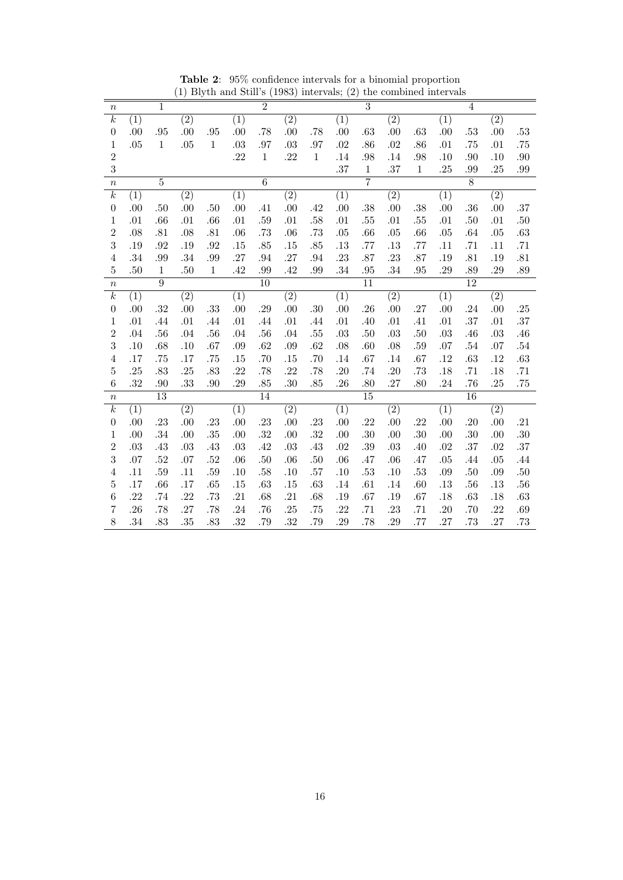| $\boldsymbol{n}$ |                  | $\overline{1}$  |                  |              |                  | $\overline{2}$  |                  |              |                  | $\overline{3}$  |                  |              |                  | $\overline{4}$  |                  |         |
|------------------|------------------|-----------------|------------------|--------------|------------------|-----------------|------------------|--------------|------------------|-----------------|------------------|--------------|------------------|-----------------|------------------|---------|
| $\overline{k}$   | $\overline{(1)}$ |                 | $\overline{(2)}$ |              | $\overline{(1)}$ |                 | $\overline{(2)}$ |              | $\overline{(1)}$ |                 | $\overline{(2)}$ |              | $\overline{(1)}$ |                 | $\overline{(2)}$ |         |
| $\boldsymbol{0}$ | .00              | .95             | .00              | .95          | .00              | .78             | .00              | .78          | .00              | .63             | .00              | .63          | .00              | .53             | .00              | $.53\,$ |
| $\mathbf 1$      | .05              | $\mathbf{1}$    | .05              | $1\,$        | .03              | .97             | $.03\,$          | .97          | .02              | .86             | $.02\,$          | .86          | .01              | .75             | .01              | .75     |
| $\overline{2}$   |                  |                 |                  |              | .22              | $\mathbf{1}$    | .22              | $\mathbf{1}$ | .14              | .98             | .14              | .98          | .10              | .90             | .10              | .90     |
| 3                |                  |                 |                  |              |                  |                 |                  |              | .37              | $\,1$           | .37              | $\mathbf{1}$ | .25              | .99             | .25              | $.99\,$ |
| $\boldsymbol{n}$ |                  | $\overline{5}$  |                  |              |                  | $\overline{6}$  |                  |              |                  | $\overline{7}$  |                  |              |                  | $\overline{8}$  |                  |         |
| $\overline{k}$   | (1)              |                 | $\overline{(2)}$ |              | $\overline{(1)}$ |                 | $\overline{(2)}$ |              | $\overline{(1)}$ |                 | $\overline{(2)}$ |              | $\overline{(1)}$ |                 | $\overline{(2)}$ |         |
| $\boldsymbol{0}$ | .00              | .50             | .00              | .50          | .00              | .41             | .00              | .42          | .00              | .38             | .00              | .38          | .00              | .36             | .00              | .37     |
| $\,1$            | .01              | .66             | .01              | .66          | .01              | $.59\,$         | .01              | .58          | .01              | .55             | .01              | .55          | .01              | .50             | .01              | $.50\,$ |
| $\overline{2}$   | .08              | .81             | $.08\,$          | .81          | .06              | $.73\,$         | .06              | .73          | .05              | .66             | $.05\,$          | .66          | .05              | .64             | $.05\,$          | $.63\,$ |
| 3                | .19              | .92             | $.19\,$          | .92          | .15              | .85             | .15              | .85          | .13              | .77             | .13              | .77          | .11              | .71             | .11              | .71     |
| $\overline{4}$   | .34              | .99             | .34              | .99          | .27              | $.94\,$         | .27              | $.94\,$      | .23              | .87             | .23              | .87          | .19              | .81             | $.19\,$          | .81     |
| $\overline{5}$   | .50              | 1               | .50              | $\mathbf{1}$ | .42              | .99             | .42              | .99          | .34              | .95             | .34              | .95          | .29              | .89             | .29              | .89     |
| $\, n$           |                  | $\overline{9}$  |                  |              |                  | $\overline{10}$ |                  |              |                  | $\overline{11}$ |                  |              |                  | $\overline{12}$ |                  |         |
| $\overline{k}$   | $\overline{(1)}$ |                 | $\overline{(2)}$ |              | $\overline{(1)}$ |                 | $\overline{(2)}$ |              | $\overline{(1)}$ |                 | $\overline{(2)}$ |              | $\overline{(1)}$ |                 | $\overline{(2)}$ |         |
| $\boldsymbol{0}$ | .00              | .32             | .00              | $.33\,$      | .00              | .29             | .00              | $.30\,$      | .00              | .26             | .00.             | .27          | .00              | .24             | .00.             | .25     |
| $\,1\,$          | .01              | .44             | .01              | .44          | .01              | .44             | .01              | .44          | .01              | .40             | $.01\,$          | .41          | .01              | .37             | .01              | .37     |
| $\overline{2}$   | .04              | .56             | .04              | .56          | .04              | .56             | .04              | .55          | $.03\,$          | .50             | .03              | .50          | .03              | .46             | $.03\,$          | $.46\,$ |
| 3                | .10              | .68             | .10              | .67          | .09              | .62             | .09              | .62          | .08              | .60             | .08              | .59          | .07              | $.54\,$         | $.07\,$          | $.54\,$ |
| $\overline{4}$   | .17              | .75             | .17              | .75          | .15              | .70             | .15              | .70          | .14              | .67             | .14              | .67          | .12              | .63             | $.12\,$          | $.63\,$ |
| $\overline{5}$   | .25              | .83             | .25              | .83          | .22              | .78             | .22              | .78          | .20              | .74             | .20              | .73          | .18              | .71             | .18              | .71     |
| $6\phantom{.}6$  | .32              | .90             | .33              | .90          | .29              | .85             | .30              | .85          | .26              | .80             | .27              | .80          | .24              | .76             | .25              | .75     |
| $\boldsymbol{n}$ |                  | $\overline{13}$ |                  |              |                  | $\overline{14}$ |                  |              |                  | $\overline{15}$ |                  |              |                  | $\overline{16}$ |                  |         |
| $\overline{k}$   | (1)              |                 | (2)              |              | $\overline{(1)}$ |                 | $\overline{(2)}$ |              | $\overline{(1)}$ |                 | $\overline{(2)}$ |              | $\overline{(1)}$ |                 | $\overline{(2)}$ |         |
| $\boldsymbol{0}$ | .00              | .23             | .00              | .23          | .00              | .23             | .00              | .23          | .00              | .22             | .00              | .22          | .00              | .20             | .00              | .21     |
| $\,1\,$          | .00              | .34             | .00              | $.35\,$      | .00              | .32             | .00              | .32          | .00              | .30             | .00              | .30          | .00              | $.30\,$         | .00.             | $.30\,$ |
| $\overline{2}$   | .03              | .43             | $.03\,$          | $.43\,$      | .03              | $.42\,$         | $.03\,$          | $.43\,$      | .02              | .39             | $.03\,$          | .40          | .02              | .37             | $.02\,$          | $.37\,$ |
| 3                | .07              | .52             | $.07\,$          | .52          | .06              | $.50\,$         | .06              | .50          | .06              | .47             | .06              | .47          | .05              | .44             | .05              | .44     |
| $\sqrt{4}$       | .11              | .59             | .11              | $.59\,$      | .10              | .58             | .10              | .57          | .10              | $.53\,$         | $.10\,$          | .53          | .09              | $.50\,$         | $.09\,$          | $.50\,$ |
| $\overline{5}$   | .17              | .66             | .17              | .65          | .15              | .63             | .15              | .63          | .14              | .61             | .14              | .60          | .13              | .56             | $.13\,$          | $.56\,$ |
| $\overline{6}$   | .22              | .74             | .22              | .73          | .21              | .68             | .21              | .68          | .19              | .67             | $.19\,$          | .67          | .18              | .63             | .18              | $.63\,$ |
| 7                | .26              | .78             | .27              | .78          | $.24\,$          | .76             | .25              | .75          | .22              | .71             | .23              | .71          | .20              | .70             | $.22\,$          | $.69\,$ |
| 8                | .34              | .83             | .35              | .83          | .32              | .79             | .32              | .79          | .29              | .78             | .29              | .77          | .27              | .73             | .27              | .73     |

**Table 2**: 95% confidence intervals for a binomial proportion (1) Blyth and Still's (1983) intervals; (2) the combined intervals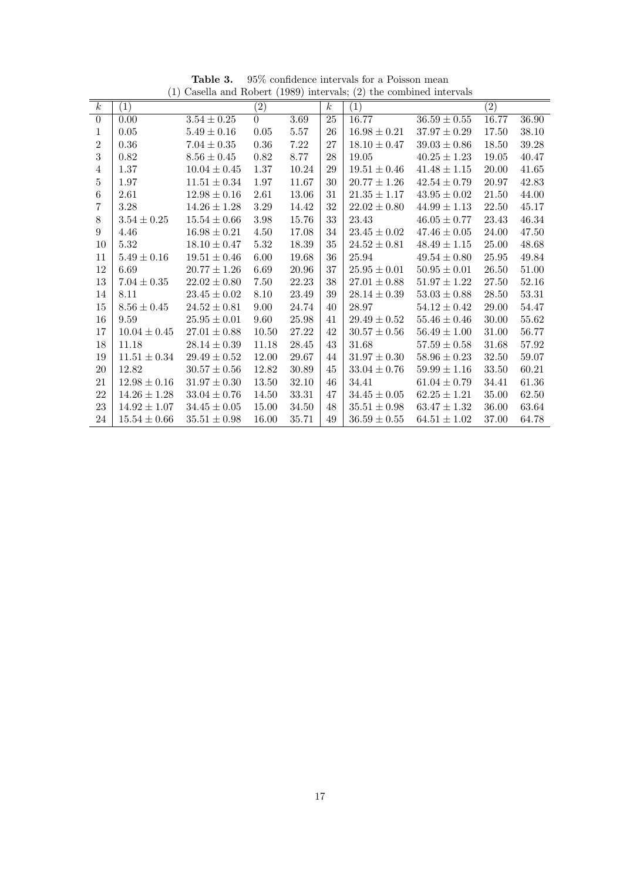|                  |                   |                  |                   |       |                  | $\sqrt{2}$       |                  |                   |       |
|------------------|-------------------|------------------|-------------------|-------|------------------|------------------|------------------|-------------------|-------|
| $\boldsymbol{k}$ | $\left( 1\right)$ |                  | $\left( 2\right)$ |       | $\boldsymbol{k}$ | (1)              |                  | $\left( 2\right)$ |       |
| $\boldsymbol{0}$ | 0.00              | $3.54 \pm 0.25$  | $\Omega$          | 3.69  | 25               | 16.77            | $36.59 \pm 0.55$ | 16.77             | 36.90 |
| 1                | 0.05              | $5.49\pm0.16$    | 0.05              | 5.57  | 26               | $16.98 \pm 0.21$ | $37.97\pm0.29$   | 17.50             | 38.10 |
| $\overline{2}$   | 0.36              | $7.04 \pm 0.35$  | 0.36              | 7.22  | 27               | $18.10 \pm 0.47$ | $39.03 \pm 0.86$ | 18.50             | 39.28 |
| $\boldsymbol{3}$ | 0.82              | $8.56 \pm 0.45$  | $0.82\,$          | 8.77  | 28               | 19.05            | $40.25 \pm 1.23$ | 19.05             | 40.47 |
| 4                | 1.37              | $10.04 \pm 0.45$ | $1.37\,$          | 10.24 | 29               | $19.51 \pm 0.46$ | $41.48 \pm 1.15$ | 20.00             | 41.65 |
| 5                | 1.97              | $11.51 \pm 0.34$ | 1.97              | 11.67 | 30               | $20.77 \pm 1.26$ | $42.54 \pm 0.79$ | 20.97             | 42.83 |
| 6                | 2.61              | $12.98 \pm 0.16$ | 2.61              | 13.06 | 31               | $21.35 \pm 1.17$ | $43.95 \pm 0.02$ | 21.50             | 44.00 |
| 7                | 3.28              | $14.26 \pm 1.28$ | 3.29              | 14.42 | 32               | $22.02 \pm 0.80$ | $44.99 \pm 1.13$ | 22.50             | 45.17 |
| $8\,$            | $3.54 \pm 0.25$   | $15.54 \pm 0.66$ | 3.98              | 15.76 | 33               | 23.43            | $46.05 \pm 0.77$ | 23.43             | 46.34 |
| 9                | 4.46              | $16.98 \pm 0.21$ | 4.50              | 17.08 | 34               | $23.45 \pm 0.02$ | $47.46 \pm 0.05$ | 24.00             | 47.50 |
| 10               | 5.32              | $18.10 \pm 0.47$ | 5.32              | 18.39 | 35               | $24.52\pm0.81$   | $48.49 \pm 1.15$ | 25.00             | 48.68 |
| 11               | $5.49 \pm 0.16$   | $19.51 \pm 0.46$ | 6.00              | 19.68 | 36               | 25.94            | $49.54 \pm 0.80$ | 25.95             | 49.84 |
| 12               | 6.69              | $20.77 \pm 1.26$ | 6.69              | 20.96 | 37               | $25.95 \pm 0.01$ | $50.95 \pm 0.01$ | 26.50             | 51.00 |
| $13\,$           | $7.04 \pm 0.35$   | $22.02 \pm 0.80$ | 7.50              | 22.23 | $38\,$           | $27.01 \pm 0.88$ | $51.97 \pm 1.22$ | 27.50             | 52.16 |
| 14               | 8.11              | $23.45 \pm 0.02$ | $8.10\,$          | 23.49 | 39               | $28.14 \pm 0.39$ | $53.03 \pm 0.88$ | 28.50             | 53.31 |
| 15               | $8.56 \pm 0.45$   | $24.52 \pm 0.81$ | 9.00              | 24.74 | 40               | 28.97            | $54.12 \pm 0.42$ | 29.00             | 54.47 |
| 16               | 9.59              | $25.95 \pm 0.01$ | 9.60              | 25.98 | 41               | $29.49 \pm 0.52$ | $55.46 \pm 0.46$ | 30.00             | 55.62 |
| 17               | $10.04 \pm 0.45$  | $27.01 \pm 0.88$ | 10.50             | 27.22 | 42               | $30.57 \pm 0.56$ | $56.49 \pm 1.00$ | 31.00             | 56.77 |
| 18               | 11.18             | $28.14 \pm 0.39$ | 11.18             | 28.45 | 43               | 31.68            | $57.59 \pm 0.58$ | 31.68             | 57.92 |
| 19               | $11.51 \pm 0.34$  | $29.49 \pm 0.52$ | 12.00             | 29.67 | 44               | $31.97 \pm 0.30$ | $58.96 \pm 0.23$ | 32.50             | 59.07 |
| $20\,$           | 12.82             | $30.57 \pm 0.56$ | 12.82             | 30.89 | 45               | $33.04 \pm 0.76$ | $59.99 \pm 1.16$ | 33.50             | 60.21 |
| 21               | $12.98 \pm 0.16$  | $31.97 \pm 0.30$ | 13.50             | 32.10 | 46               | 34.41            | $61.04 \pm 0.79$ | 34.41             | 61.36 |
| 22               | $14.26 \pm 1.28$  | $33.04 \pm 0.76$ | 14.50             | 33.31 | 47               | $34.45 \pm 0.05$ | $62.25 \pm 1.21$ | 35.00             | 62.50 |
| $23\,$           | $14.92 \pm 1.07$  | $34.45 \pm 0.05$ | 15.00             | 34.50 | 48               | $35.51 \pm 0.98$ | $63.47 \pm 1.32$ | 36.00             | 63.64 |
| 24               | $15.54 \pm 0.66$  | $35.51 \pm 0.98$ | 16.00             | 35.71 | 49               | $36.59 \pm 0.55$ | $64.51 \pm 1.02$ | 37.00             | 64.78 |

**Table 3.** 95% confidence intervals for a Poisson mean (1) Casella and Robert (1989) intervals; (2) the combined intervals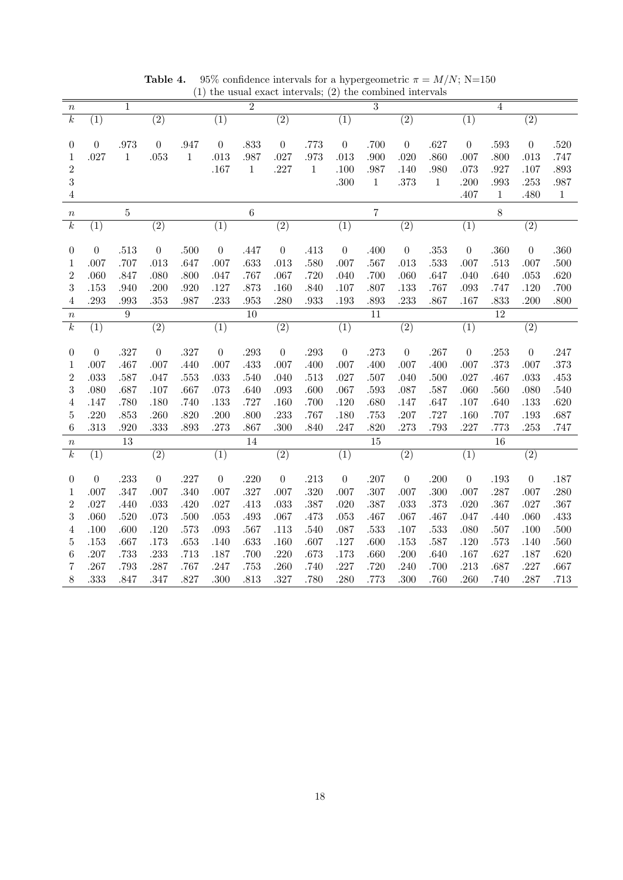*n* 1 2 3 4 *k* (1) (2) (1) (2) (1) (2) (1) (2) 0 0 .973 0 .947 0 .833 0 .773 0 .700 0 .627 0 .593 0 .520 1 .027 1 .053 1 .013 .987 .027 .973 .013 .900 .020 .860 .007 .800 .013 .747 2 .167 1 .227 1 .100 .987 .140 .980 .073 .927 .107 .893 3 .300 1 .373 1 .200 .993 .253 .987 4 .407 1 .480 1 *n* 5 6 7 8 *k* (1) (2) (1) (2) (1) (2) (1) (2) 0 0 .513 0 .500 0 .447 0 .413 0 .400 0 .353 0 .360 0 .360 1 .007 .707 .013 .647 .007 .633 .013 .580 .007 .567 .013 .533 .007 .513 .007 .500 2 .060 .847 .080 .800 .047 .767 .067 .720 .040 .700 .060 .647 .040 .640 .053 .620 3 .153 .940 .200 .920 .127 .873 .160 .840 .107 .807 .133 .767 .093 .747 .120 .700 4 .293 .993 .353 .987 .233 .953 .280 .933 .193 .893 .233 .867 .167 .833 .200 .800 *n* 9 10 11 12 *k* (1) (2) (1) (2) (1) (2) (1) (2) 0 0 .327 0 .327 0 .293 0 .293 0 .273 0 .267 0 .253 0 .247 1 .007 .467 .007 .440 .007 .433 .007 .400 .007 .400 .007 .400 .007 .373 .007 .373 2 .033 .587 .047 .553 .033 .540 .040 .513 .027 .507 .040 .500 .027 .467 .033 .453 3 .080 .687 .107 .667 .073 .640 .093 .600 .067 .593 .087 .587 .060 .560 .080 .540 4 .147 .780 .180 .740 .133 .727 .160 .700 .120 .680 .147 .647 .107 .640 .133 .620 5 .220 .853 .260 .820 .200 .800 .233 .767 .180 .753 .207 .727 .160 .707 .193 .687 6 .313 .920 .333 .893 .273 .867 .300 .840 .247 .820 .273 .793 .227 .773 .253 .747 *n* 13 14 15 16 *k* (1) (2) (1) (2) (1) (2) (1) (2) 0 0 .233 0 .227 0 .220 0 .213 0 .207 0 .200 0 .193 0 .187 1 .007 .347 .007 .340 .007 .327 .007 .320 .007 .307 .007 .300 .007 .287 .007 .280 2 .027 .440 .033 .420 .027 .413 .033 .387 .020 .387 .033 .373 .020 .367 .027 .367 3 .060 .520 .073 .500 .053 .493 .067 .473 .053 .467 .067 .467 .047 .440 .060 .433 4 .100 .600 .120 .573 .093 .567 .113 .540 .087 .533 .107 .533 .080 .507 .100 .500 5 .153 .667 .173 .653 .140 .633 .160 .607 .127 .600 .153 .587 .120 .573 .140 .560 6 .207 .733 .233 .713 .187 .700 .220 .673 .173 .660 .200 .640 .167 .627 .187 .620 7 .267 .793 .287 .767 .247 .753 .260 .740 .227 .720 .240 .700 .213 .687 .227 .667 8 .333 .847 .347 .827 .300 .813 .327 .780 .280 .773 .300 .760 .260 .740 .287 .713

**Table 4.** 95% confidence intervals for a hypergeometric  $\pi = M/N$ ; N=150 (1) the usual exact intervals; (2) the combined intervals